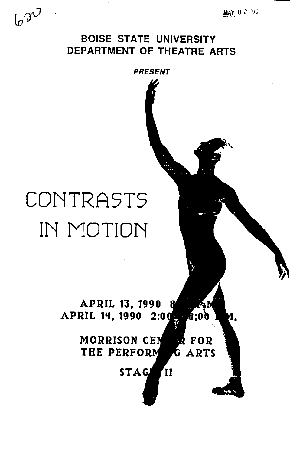MAY 02 '90

 $\omega^{\gamma}$ 

### BOISE STATE UNIVERSITY DEPARTMENT OF THEATRE ARTS

*PRESENT* 



#### APRIL 13, 1990 7. N  $APRIL$  14, 1990 2:00 **6:00** И.

#### MORRISON CEN **RR FOR** THE PERFORM G ARTS

### STAGE II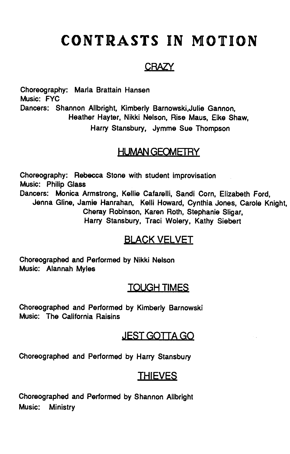# **CONTRASTS IN MOTION**

### **CRAZY**

Choreography: Marla Brattain Hansen Music: FYC Dancers: Shannon Allbright, Kimberly Barnowski,Julie Gannon, Heather Hayter, Nikki Nelson, Rise Maus, Elke Shaw, Harry Stansbury, Jymme Sue Thompson

### HUMAN GEOMETRY

Choreography: Rebecca Stone with student improvisation Music: Philip Glass Dancers: Monica Armstrong, Kellie Cafarelli, Sandi Corn, Elizabeth Ford, Janna Gline, Jamie Hanrahan, Kelli Howard, Cynthia Jones, Carole Knight, Cheray Robinson, Karen Roth, Stephanie Sligar, Harry Stansbury, Traci Wolery, Kathy Siebert

### BLACK VELVET

Choreographed and Performed by Nikki Nelson Music: Alannah Myles

### TOUGH TIMES

Choreographed and Performed by Kimberly Sarnowski Music: The California Raisins

### JEST GOTTA GO

Choreographed and Performed by Harry Stansbury

### THIEVES

Choreographed and Performed by Shannon Allbright Music: Ministry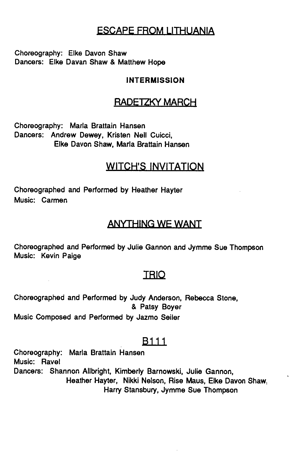### ESCAPE FROM LITHUANIA

Choreography: Elke Davon Shaw Dancers: Elke Davan Shaw & Matthew Hope

#### INTERMISSION

### BADETZKY MARCH

Choreography: Marla Brattain Hansen Dancers: Andrew Dewey, Kristen Nell Cuicci, Elke Davon Shaw, Marla Brattain Hansen

### WITCH'S INVITATION

Choreographed and Performed by Heather Hayter Music: Carmen

### ANYTHING WE WANT

Choreographed and Performed by Julie Gannon and Jymme Sue Thompson Music: Kevin Paige

### **TRIO**

Choreographed and Performed by Judy Anderson, Rebecca Stone, & Patsy Boyer Music Composed and Performed by Jazmo Seiler

### B<sub>111</sub>

Choreography: Marla Brattain Hansen Music: Ravel Dancers: Shannon Allbright, Kimberly Sarnowski, Julie Gannon, Heather Hayter, Nikki Nelson, Rise Maus, Elke Davon Shaw, Harry Stansbury, Jymme Sue Thompson